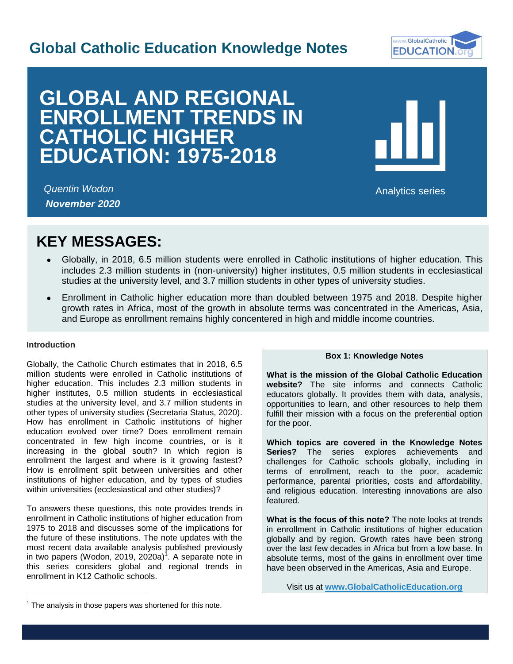## **Global Catholic Education Knowledge Notes**



# **GLOBAL AND REGIONAL ENROLLMENT TRENDS IN CATHOLIC HIGHER EDUCATION: 1975-2018**



I

*Quentin Wodon November 2020*

Analytics series

## **KEY MESSAGES:**

- Globally, in 2018, 6.5 million students were enrolled in Catholic institutions of higher education. This includes 2.3 million students in (non-university) higher institutes, 0.5 million students in ecclesiastical studies at the university level, and 3.7 million students in other types of university studies.
- Enrollment in Catholic higher education more than doubled between 1975 and 2018. Despite higher growth rates in Africa, most of the growth in absolute terms was concentrated in the Americas, Asia, and Europe as enrollment remains highly concentered in high and middle income countries.

## **Introduction**

l

Globally, the Catholic Church estimates that in 2018, 6.5 million students were enrolled in Catholic institutions of higher education. This includes 2.3 million students in higher institutes, 0.5 million students in ecclesiastical studies at the university level, and 3.7 million students in other types of university studies (Secretaria Status, 2020). How has enrollment in Catholic institutions of higher education evolved over time? Does enrollment remain concentrated in few high income countries, or is it increasing in the global south? In which region is enrollment the largest and where is it growing fastest? How is enrollment split between universities and other institutions of higher education, and by types of studies within universities (ecclesiastical and other studies)?

To answers these questions, this note provides trends in enrollment in Catholic institutions of higher education from 1975 to 2018 and discusses some of the implications for the future of these institutions. The note updates with the most recent data available analysis published previously in two papers (Wodon, 2019, 2020a) 1 . A separate note in this series considers global and regional trends in enrollment in K12 Catholic schools.

## **Box 1: Knowledge Notes**

**What is the mission of the Global Catholic Education website?** The site informs and connects Catholic educators globally. It provides them with data, analysis, opportunities to learn, and other resources to help them fulfill their mission with a focus on the preferential option for the poor.

**Which topics are covered in the Knowledge Notes Series?** The series explores achievements and challenges for Catholic schools globally, including in terms of enrollment, reach to the poor, academic performance, parental priorities, costs and affordability, and religious education. Interesting innovations are also featured.

**What is the focus of this note?** The note looks at trends in enrollment in Catholic institutions of higher education globally and by region. Growth rates have been strong over the last few decades in Africa but from a low base. In absolute terms, most of the gains in enrollment over time have been observed in the Americas, Asia and Europe.

Visit us at **[www.GlobalCatholicEducation.org](http://www.globalcatholiceducation.org/)**

 $1$  The analysis in those papers was shortened for this note.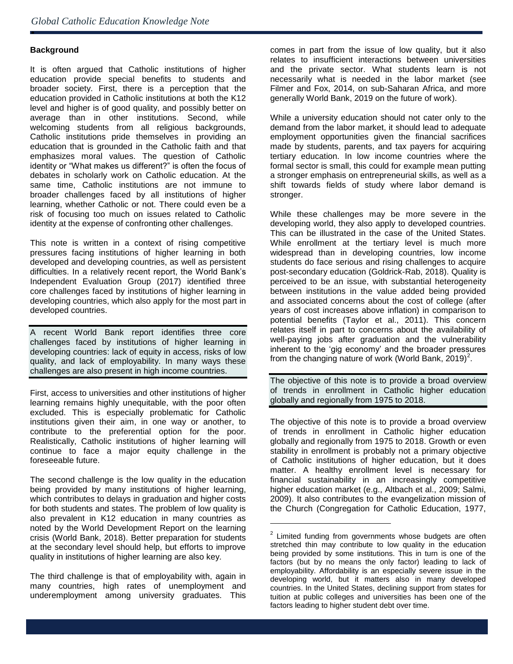## **Background**

ė

It is often argued that Catholic institutions of higher education provide special benefits to students and broader society. First, there is a perception that the education provided in Catholic institutions at both the K12 level and higher is of good quality, and possibly better on average than in other institutions. Second, while welcoming students from all religious backgrounds, Catholic institutions pride themselves in providing an education that is grounded in the Catholic faith and that emphasizes moral values. The question of Catholic identity or "What makes us different?" is often the focus of debates in scholarly work on Catholic education. At the same time, Catholic institutions are not immune to broader challenges faced by all institutions of higher learning, whether Catholic or not. There could even be a risk of focusing too much on issues related to Catholic identity at the expense of confronting other challenges.

This note is written in a context of rising competitive pressures facing institutions of higher learning in both developed and developing countries, as well as persistent difficulties. In a relatively recent report, the World Bank's Independent Evaluation Group (2017) identified three core challenges faced by institutions of higher learning in developing countries, which also apply for the most part in developed countries.

A recent World Bank report identifies three core challenges faced by institutions of higher learning in developing countries: lack of equity in access, risks of low quality, and lack of employability. In many ways these challenges are also present in high income countries.

First, access to universities and other institutions of higher learning remains highly unequitable, with the poor often excluded. This is especially problematic for Catholic institutions given their aim, in one way or another, to contribute to the preferential option for the poor. Realistically, Catholic institutions of higher learning will continue to face a major equity challenge in the foreseeable future.

The second challenge is the low quality in the education being provided by many institutions of higher learning, which contributes to delays in graduation and higher costs for both students and states. The problem of low quality is also prevalent in K12 education in many countries as noted by the World Development Report on the learning crisis (World Bank, 2018). Better preparation for students at the secondary level should help, but efforts to improve quality in institutions of higher learning are also key.

The third challenge is that of employability with, again in many countries, high rates of unemployment and underemployment among university graduates. This

comes in part from the issue of low quality, but it also relates to insufficient interactions between universities and the private sector. What students learn is not necessarily what is needed in the labor market (see Filmer and Fox, 2014, on sub-Saharan Africa, and more generally World Bank, 2019 on the future of work).

While a university education should not cater only to the demand from the labor market, it should lead to adequate employment opportunities given the financial sacrifices made by students, parents, and tax payers for acquiring tertiary education. In low income countries where the formal sector is small, this could for example mean putting a stronger emphasis on entrepreneurial skills, as well as a shift towards fields of study where labor demand is stronger.

While these challenges may be more severe in the developing world, they also apply to developed countries. This can be illustrated in the case of the United States. While enrollment at the tertiary level is much more widespread than in developing countries, low income students do face serious and rising challenges to acquire post-secondary education (Goldrick-Rab, 2018). Quality is perceived to be an issue, with substantial heterogeneity between institutions in the value added being provided and associated concerns about the cost of college (after years of cost increases above inflation) in comparison to potential benefits (Taylor et al., 2011). This concern relates itself in part to concerns about the availability of well-paying jobs after graduation and the vulnerability inherent to the 'gig economy' and the broader pressures from the changing nature of work (World Bank, 2019)<sup>2</sup>.

The objective of this note is to provide a broad overview of trends in enrollment in Catholic higher education globally and regionally from 1975 to 2018.

The objective of this note is to provide a broad overview of trends in enrollment in Catholic higher education globally and regionally from 1975 to 2018. Growth or even stability in enrollment is probably not a primary objective of Catholic institutions of higher education, but it does matter. A healthy enrollment level is necessary for financial sustainability in an increasingly competitive higher education market (e.g., Altbach et al., 2009; Salmi, 2009). It also contributes to the evangelization mission of the Church (Congregation for Catholic Education, 1977,

l

 $2$  Limited funding from governments whose budgets are often stretched thin may contribute to low quality in the education being provided by some institutions. This in turn is one of the factors (but by no means the only factor) leading to lack of employability. Affordability is an especially severe issue in the developing world, but it matters also in many developed countries. In the United States, declining support from states for tuition at public colleges and universities has been one of the factors leading to higher student debt over time.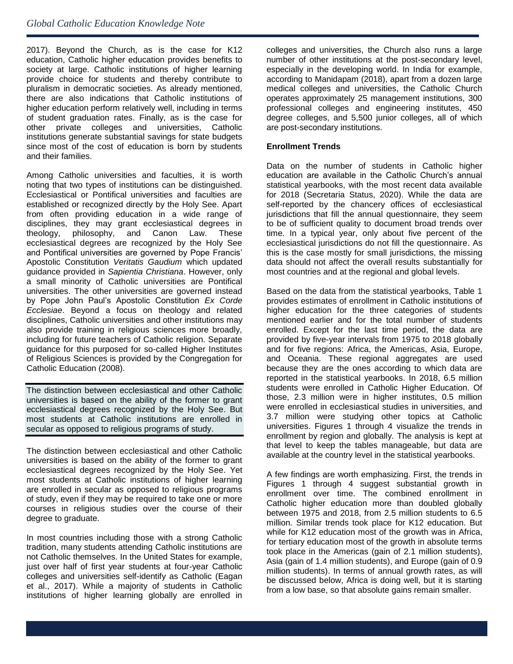2017). Beyond the Church, as is the case for K12 education, Catholic higher education provides benefits to society at large. Catholic institutions of higher learning provide choice for students and thereby contribute to pluralism in democratic societies. As already mentioned, there are also indications that Catholic institutions of higher education perform relatively well, including in terms of student graduation rates. Finally, as is the case for other private colleges and universities, Catholic institutions generate substantial savings for state budgets since most of the cost of education is born by students and their families.

Among Catholic universities and faculties, it is worth noting that two types of institutions can be distinguished. Ecclesiastical or Pontifical universities and faculties are established or recognized directly by the Holy See. Apart from often providing education in a wide range of disciplines, they may grant ecclesiastical degrees in theology, philosophy, and Canon Law. These ecclesiastical degrees are recognized by the Holy See and Pontifical universities are governed by Pope Francis' Apostolic Constitution *Veritatis Gaudium* which updated guidance provided in *Sapientia Christiana*. However, only a small minority of Catholic universities are Pontifical universities. The other universities are governed instead by Pope John Paul's Apostolic Constitution *Ex Corde Ecclesiae*. Beyond a focus on theology and related disciplines, Catholic universities and other institutions may also provide training in religious sciences more broadly, including for future teachers of Catholic religion. Separate guidance for this purposed for so-called Higher Institutes of Religious Sciences is provided by the Congregation for Catholic Education (2008).

The distinction between ecclesiastical and other Catholic universities is based on the ability of the former to grant ecclesiastical degrees recognized by the Holy See. But most students at Catholic institutions are enrolled in secular as opposed to religious programs of study.

The distinction between ecclesiastical and other Catholic universities is based on the ability of the former to grant ecclesiastical degrees recognized by the Holy See. Yet most students at Catholic institutions of higher learning are enrolled in secular as opposed to religious programs of study, even if they may be required to take one or more courses in religious studies over the course of their degree to graduate.

In most countries including those with a strong Catholic tradition, many students attending Catholic institutions are not Catholic themselves. In the United States for example, just over half of first year students at four-year Catholic colleges and universities self-identify as Catholic (Eagan et al., 2017). While a majority of students in Catholic institutions of higher learning globally are enrolled in colleges and universities, the Church also runs a large number of other institutions at the post-secondary level, especially in the developing world. In India for example, according to Manidapam (2018), apart from a dozen large medical colleges and universities, the Catholic Church operates approximately 25 management institutions, 300 professional colleges and engineering institutes, 450 degree colleges, and 5,500 junior colleges, all of which are post-secondary institutions.

## **Enrollment Trends**

Data on the number of students in Catholic higher education are available in the Catholic Church's annual statistical yearbooks, with the most recent data available for 2018 (Secretaria Status, 2020). While the data are self-reported by the chancery offices of ecclesiastical jurisdictions that fill the annual questionnaire, they seem to be of sufficient quality to document broad trends over time. In a typical year, only about five percent of the ecclesiastical jurisdictions do not fill the questionnaire. As this is the case mostly for small jurisdictions, the missing data should not affect the overall results substantially for most countries and at the regional and global levels.

Based on the data from the statistical yearbooks, Table 1 provides estimates of enrollment in Catholic institutions of higher education for the three categories of students mentioned earlier and for the total number of students enrolled. Except for the last time period, the data are provided by five-year intervals from 1975 to 2018 globally and for five regions: Africa, the Americas, Asia, Europe, and Oceania. These regional aggregates are used because they are the ones according to which data are reported in the statistical yearbooks. In 2018, 6.5 million students were enrolled in Catholic Higher Education. Of those, 2.3 million were in higher institutes, 0.5 million were enrolled in ecclesiastical studies in universities, and 3.7 million were studying other topics at Catholic universities. Figures 1 through 4 visualize the trends in enrollment by region and globally. The analysis is kept at that level to keep the tables manageable, but data are available at the country level in the statistical yearbooks.

A few findings are worth emphasizing. First, the trends in Figures 1 through 4 suggest substantial growth in enrollment over time. The combined enrollment in Catholic higher education more than doubled globally between 1975 and 2018, from 2.5 million students to 6.5 million. Similar trends took place for K12 education. But while for K12 education most of the growth was in Africa, for tertiary education most of the growth in absolute terms took place in the Americas (gain of 2.1 million students), Asia (gain of 1.4 million students), and Europe (gain of 0.9 million students). In terms of annual growth rates, as will be discussed below, Africa is doing well, but it is starting from a low base, so that absolute gains remain smaller.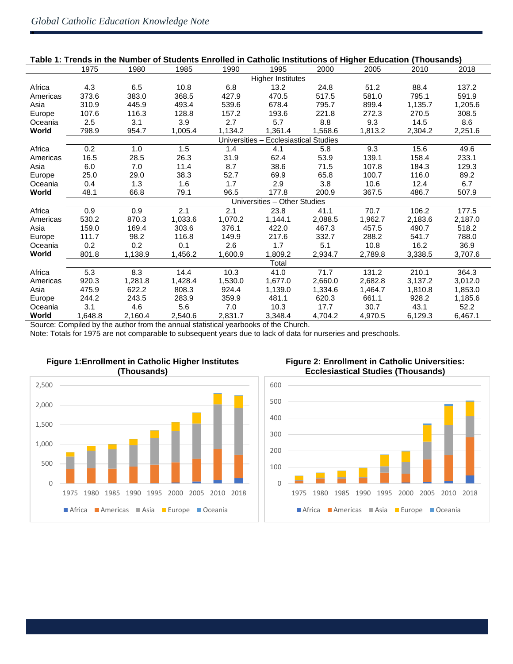ė

| Table 1: Trends in the Number of Students Enrolled in Catholic Institutions of Higher Education (Thousands) |                                                                          |         |                                                                                                                                                                                                                                       |         |                              |         |         |         |         |
|-------------------------------------------------------------------------------------------------------------|--------------------------------------------------------------------------|---------|---------------------------------------------------------------------------------------------------------------------------------------------------------------------------------------------------------------------------------------|---------|------------------------------|---------|---------|---------|---------|
|                                                                                                             | 1975                                                                     | 1980    | 1985                                                                                                                                                                                                                                  | 1990    | 1995                         | 2000    | 2005    | 2010    | 2018    |
|                                                                                                             | <b>Higher Institutes</b>                                                 |         |                                                                                                                                                                                                                                       |         |                              |         |         |         |         |
| Africa                                                                                                      | 4.3                                                                      | 6.5     | 10.8                                                                                                                                                                                                                                  | 6.8     | 13.2                         | 24.8    | 51.2    | 88.4    | 137.2   |
| Americas                                                                                                    | 373.6                                                                    | 383.0   | 368.5                                                                                                                                                                                                                                 | 427.9   | 470.5                        | 517.5   | 581.0   | 795.1   | 591.9   |
| Asia                                                                                                        | 310.9                                                                    | 445.9   | 493.4                                                                                                                                                                                                                                 | 539.6   | 678.4                        | 795.7   | 899.4   | 1,135.7 | 1,205.6 |
| Europe                                                                                                      | 107.6                                                                    | 116.3   | 128.8                                                                                                                                                                                                                                 | 157.2   | 193.6                        | 221.8   | 272.3   | 270.5   | 308.5   |
| Oceania                                                                                                     | 2.5                                                                      | 3.1     | 3.9                                                                                                                                                                                                                                   | 2.7     | 5.7                          | 8.8     | 9.3     | 14.5    | 8.6     |
| World                                                                                                       | 798.9                                                                    | 954.7   | 1,005.4                                                                                                                                                                                                                               | 1.134.2 | 1,361.4                      | 1,568.6 | 1,813.2 | 2,304.2 | 2,251.6 |
|                                                                                                             | <b>Ecclesiastical Studies</b><br>Universities                            |         |                                                                                                                                                                                                                                       |         |                              |         |         |         |         |
| Africa                                                                                                      | 0.2                                                                      | 1.0     | 1.5                                                                                                                                                                                                                                   | 1.4     | 4.1                          | 5.8     | 9.3     | 15.6    | 49.6    |
| Americas                                                                                                    | 16.5                                                                     | 28.5    | 26.3                                                                                                                                                                                                                                  | 31.9    | 62.4                         | 53.9    | 139.1   | 158.4   | 233.1   |
| Asia                                                                                                        | 6.0                                                                      | 7.0     | 11.4                                                                                                                                                                                                                                  | 8.7     | 38.6                         | 71.5    | 107.8   | 184.3   | 129.3   |
| Europe                                                                                                      | 25.0                                                                     | 29.0    | 38.3                                                                                                                                                                                                                                  | 52.7    | 69.9                         | 65.8    | 100.7   | 116.0   | 89.2    |
| Oceania                                                                                                     | 0.4                                                                      | 1.3     | 1.6                                                                                                                                                                                                                                   | 1.7     | 2.9                          | 3.8     | 10.6    | 12.4    | 6.7     |
| World                                                                                                       | 48.1                                                                     | 66.8    | 79.1                                                                                                                                                                                                                                  | 96.5    | 177.8                        | 200.9   | 367.5   | 486.7   | 507.9   |
|                                                                                                             |                                                                          |         |                                                                                                                                                                                                                                       |         | Universities - Other Studies |         |         |         |         |
| Africa                                                                                                      | 0.9                                                                      | 0.9     | 2.1                                                                                                                                                                                                                                   | 2.1     | 23.8                         | 41.1    | 70.7    | 106.2   | 177.5   |
| Americas                                                                                                    | 530.2                                                                    | 870.3   | 1,033.6                                                                                                                                                                                                                               | 1,070.2 | 1,144.1                      | 2,088.5 | 1,962.7 | 2,183.6 | 2,187.0 |
| Asia                                                                                                        | 159.0                                                                    | 169.4   | 303.6                                                                                                                                                                                                                                 | 376.1   | 422.0                        | 467.3   | 457.5   | 490.7   | 518.2   |
| Europe                                                                                                      | 111.7                                                                    | 98.2    | 116.8                                                                                                                                                                                                                                 | 149.9   | 217.6                        | 332.7   | 288.2   | 541.7   | 788.0   |
| Oceania                                                                                                     | 0.2                                                                      | 0.2     | 0.1                                                                                                                                                                                                                                   | 2.6     | 1.7                          | 5.1     | 10.8    | 16.2    | 36.9    |
| World                                                                                                       | 801.8                                                                    | 1,138.9 | 1,456.2                                                                                                                                                                                                                               | 1,600.9 | 1,809.2                      | 2,934.7 | 2,789.8 | 3,338.5 | 3,707.6 |
|                                                                                                             |                                                                          |         |                                                                                                                                                                                                                                       |         | Total                        |         |         |         |         |
| Africa                                                                                                      | 5.3                                                                      | 8.3     | 14.4                                                                                                                                                                                                                                  | 10.3    | 41.0                         | 71.7    | 131.2   | 210.1   | 364.3   |
| Americas                                                                                                    | 920.3                                                                    | 1,281.8 | 1,428.4                                                                                                                                                                                                                               | 1,530.0 | 1,677.0                      | 2,660.0 | 2,682.8 | 3,137.2 | 3,012.0 |
| Asia                                                                                                        | 475.9                                                                    | 622.2   | 808.3                                                                                                                                                                                                                                 | 924.4   | 1,139.0                      | 1,334.6 | 1,464.7 | 1,810.8 | 1,853.0 |
| Europe                                                                                                      | 244.2                                                                    | 243.5   | 283.9                                                                                                                                                                                                                                 | 359.9   | 481.1                        | 620.3   | 661.1   | 928.2   | 1,185.6 |
| Oceania                                                                                                     | 3.1                                                                      | 4.6     | 5.6                                                                                                                                                                                                                                   | 7.0     | 10.3                         | 17.7    | 30.7    | 43.1    | 52.2    |
| World                                                                                                       | 1,648.8                                                                  | 2,160.4 | 2,540.6                                                                                                                                                                                                                               | 2,831.7 | 3,348.4                      | 4,704.2 | 4,970.5 | 6,129.3 | 6,467.1 |
|                                                                                                             | $\mathbf{r}$ , $\mathbf{r}$ , $\mathbf{r}$ , $\mathbf{r}$ , $\mathbf{r}$ | $\sim$  | $\mathbf{r}$ and $\mathbf{r}$ are assumed to the contract of the contract of the contract of the contract of the contract of the contract of the contract of the contract of the contract of the contract of the contract of the cont |         | $\sim$<br>$\sim$             |         |         |         |         |

## **Table 1: Trends in the Number of Students Enrolled in Catholic Institutions of Higher Education (Thousands)**

Source: Compiled by the author from the annual statistical yearbooks of the Church.

Note: Totals for 1975 are not comparable to subsequent years due to lack of data for nurseries and preschools.



## **Figure 1:Enrollment in Catholic Higher Institutes (Thousands)**

## **Figure 2: Enrollment in Catholic Universities: Ecclesiastical Studies (Thousands)**

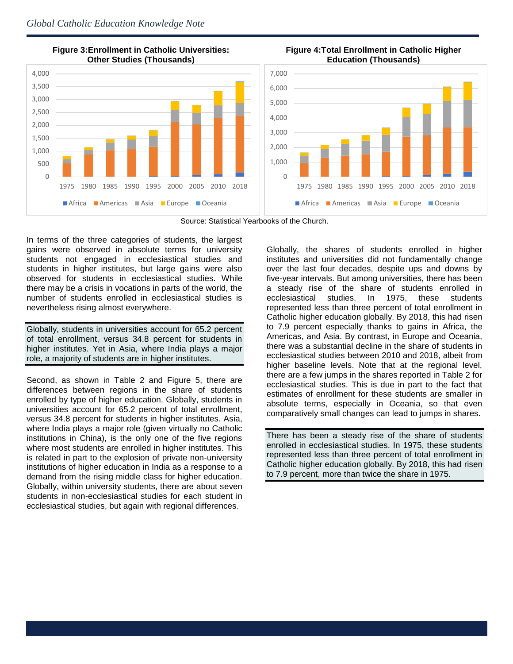

 **Figure 3:Enrollment in Catholic Universities: Other Studies (Thousands)**





Source: Statistical Yearbooks of the Church.

In terms of the three categories of students, the largest gains were observed in absolute terms for university students not engaged in ecclesiastical studies and students in higher institutes, but large gains were also observed for students in ecclesiastical studies. While there may be a crisis in vocations in parts of the world, the number of students enrolled in ecclesiastical studies is nevertheless rising almost everywhere.

Globally, students in universities account for 65.2 percent of total enrollment, versus 34.8 percent for students in higher institutes. Yet in Asia, where India plays a major role, a majority of students are in higher institutes.

Second, as shown in Table 2 and Figure 5, there are differences between regions in the share of students enrolled by type of higher education. Globally, students in universities account for 65.2 percent of total enrollment, versus 34.8 percent for students in higher institutes. Asia, where India plays a major role (given virtually no Catholic institutions in China), is the only one of the five regions where most students are enrolled in higher institutes. This is related in part to the explosion of private non-university institutions of higher education in India as a response to a demand from the rising middle class for higher education. Globally, within university students, there are about seven students in non-ecclesiastical studies for each student in ecclesiastical studies, but again with regional differences.

Globally, the shares of students enrolled in higher institutes and universities did not fundamentally change over the last four decades, despite ups and downs by five-year intervals. But among universities, there has been a steady rise of the share of students enrolled in ecclesiastical studies. In 1975, these students represented less than three percent of total enrollment in Catholic higher education globally. By 2018, this had risen to 7.9 percent especially thanks to gains in Africa, the Americas, and Asia. By contrast, in Europe and Oceania, there was a substantial decline in the share of students in ecclesiastical studies between 2010 and 2018, albeit from higher baseline levels. Note that at the regional level, there are a few jumps in the shares reported in Table 2 for ecclesiastical studies. This is due in part to the fact that estimates of enrollment for these students are smaller in absolute terms, especially in Oceania, so that even comparatively small changes can lead to jumps in shares.

There has been a steady rise of the share of students enrolled in ecclesiastical studies. In 1975, these students represented less than three percent of total enrollment in Catholic higher education globally. By 2018, this had risen to 7.9 percent, more than twice the share in 1975.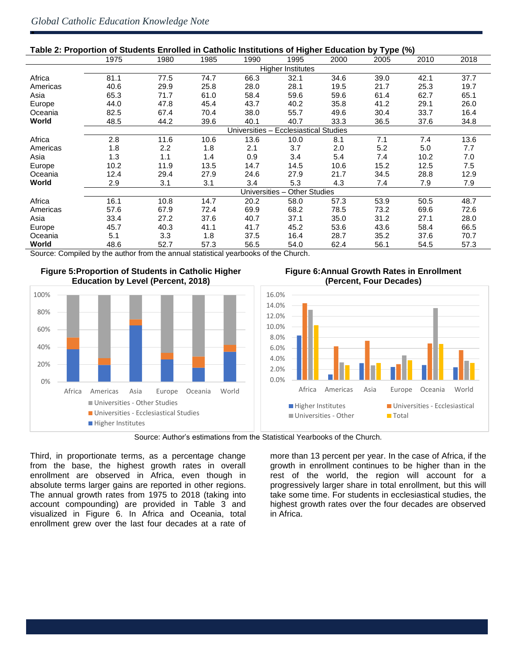ė

| Table 2: Proportion of Students Enrolled in Catholic Institutions of Higher Education by Type (%) |                                             |                          |      |                     |                               |      |      |      |      |  |
|---------------------------------------------------------------------------------------------------|---------------------------------------------|--------------------------|------|---------------------|-------------------------------|------|------|------|------|--|
|                                                                                                   | 1975                                        | 1980                     | 1985 | 1990                | 1995                          | 2000 | 2005 | 2010 | 2018 |  |
|                                                                                                   |                                             | <b>Higher Institutes</b> |      |                     |                               |      |      |      |      |  |
| Africa                                                                                            | 81.1                                        | 77.5                     | 74.7 | 66.3                | 32.1                          | 34.6 | 39.0 | 42.1 | 37.7 |  |
| Americas                                                                                          | 40.6                                        | 29.9                     | 25.8 | 28.0                | 28.1                          | 19.5 | 21.7 | 25.3 | 19.7 |  |
| Asia                                                                                              | 65.3                                        | 71.7                     | 61.0 | 58.4                | 59.6                          | 59.6 | 61.4 | 62.7 | 65.1 |  |
| Europe                                                                                            | 44.0                                        | 47.8                     | 45.4 | 43.7                | 40.2                          | 35.8 | 41.2 | 29.1 | 26.0 |  |
| Oceania                                                                                           | 82.5                                        | 67.4                     | 70.4 | 38.0                | 55.7                          | 49.6 | 30.4 | 33.7 | 16.4 |  |
| World                                                                                             | 48.5                                        | 44.2                     | 39.6 | 40.1                | 40.7                          | 33.3 | 36.5 | 37.6 | 34.8 |  |
|                                                                                                   |                                             |                          |      | <b>Universities</b> | <b>Ecclesiastical Studies</b> |      |      |      |      |  |
| Africa                                                                                            | 2.8                                         | 11.6                     | 10.6 | 13.6                | 10.0                          | 8.1  | 7.1  | 7.4  | 13.6 |  |
| Americas                                                                                          | 1.8                                         | 2.2                      | 1.8  | 2.1                 | 3.7                           | 2.0  | 5.2  | 5.0  | 7.7  |  |
| Asia                                                                                              | 1.3                                         | 1.1                      | 1.4  | 0.9                 | 3.4                           | 5.4  | 7.4  | 10.2 | 7.0  |  |
| Europe                                                                                            | 10.2                                        | 11.9                     | 13.5 | 14.7                | 14.5                          | 10.6 | 15.2 | 12.5 | 7.5  |  |
| Oceania                                                                                           | 12.4                                        | 29.4                     | 27.9 | 24.6                | 27.9                          | 21.7 | 34.5 | 28.8 | 12.9 |  |
| World                                                                                             | 2.9                                         | 3.1                      | 3.1  | 3.4                 | 5.3                           | 4.3  | 7.4  | 7.9  | 7.9  |  |
|                                                                                                   | <b>Universities</b><br><b>Other Studies</b> |                          |      |                     |                               |      |      |      |      |  |
| Africa                                                                                            | 16.1                                        | 10.8                     | 14.7 | 20.2                | 58.0                          | 57.3 | 53.9 | 50.5 | 48.7 |  |
| Americas                                                                                          | 57.6                                        | 67.9                     | 72.4 | 69.9                | 68.2                          | 78.5 | 73.2 | 69.6 | 72.6 |  |
| Asia                                                                                              | 33.4                                        | 27.2                     | 37.6 | 40.7                | 37.1                          | 35.0 | 31.2 | 27.1 | 28.0 |  |
| Europe                                                                                            | 45.7                                        | 40.3                     | 41.1 | 41.7                | 45.2                          | 53.6 | 43.6 | 58.4 | 66.5 |  |
| Oceania                                                                                           | 5.1                                         | 3.3                      | 1.8  | 37.5                | 16.4                          | 28.7 | 35.2 | 37.6 | 70.7 |  |
| World                                                                                             | 48.6                                        | 52.7                     | 57.3 | 56.5                | 54.0                          | 62.4 | 56.1 | 54.5 | 57.3 |  |

Source: Compiled by the author from the annual statistical yearbooks of the Church.







Source: Author's estimations from the Statistical Yearbooks of the Church.

Third, in proportionate terms, as a percentage change from the base, the highest growth rates in overall enrollment are observed in Africa, even though in absolute terms larger gains are reported in other regions. The annual growth rates from 1975 to 2018 (taking into account compounding) are provided in Table 3 and visualized in Figure 6. In Africa and Oceania, total enrollment grew over the last four decades at a rate of

more than 13 percent per year. In the case of Africa, if the growth in enrollment continues to be higher than in the rest of the world, the region will account for a progressively larger share in total enrollment, but this will take some time. For students in ecclesiastical studies, the highest growth rates over the four decades are observed in Africa.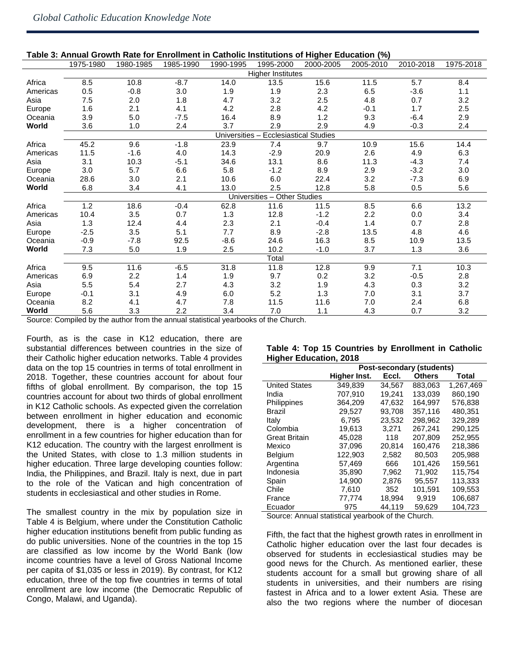| Table 3: Annual Growth Rate for Enrollment in Catholic Institutions of Higher Education (%) |                                                |           |           |           |                              |           |           |           |           |  |
|---------------------------------------------------------------------------------------------|------------------------------------------------|-----------|-----------|-----------|------------------------------|-----------|-----------|-----------|-----------|--|
|                                                                                             | 1975-1980                                      | 1980-1985 | 1985-1990 | 1990-1995 | 1995-2000                    | 2000-2005 | 2005-2010 | 2010-2018 | 1975-2018 |  |
|                                                                                             | <b>Higher Institutes</b>                       |           |           |           |                              |           |           |           |           |  |
| Africa                                                                                      | 8.5                                            | 10.8      | $-8.7$    | 14.0      | 13.5                         | 15.6      | 11.5      | 5.7       | 8.4       |  |
| Americas                                                                                    | 0.5                                            | $-0.8$    | 3.0       | 1.9       | 1.9                          | 2.3       | 6.5       | $-3.6$    | 1.1       |  |
| Asia                                                                                        | 7.5                                            | 2.0       | 1.8       | 4.7       | 3.2                          | 2.5       | 4.8       | 0.7       | 3.2       |  |
| Europe                                                                                      | 1.6                                            | 2.1       | 4.1       | 4.2       | 2.8                          | 4.2       | $-0.1$    | 1.7       | 2.5       |  |
| Oceania                                                                                     | 3.9                                            | 5.0       | $-7.5$    | 16.4      | 8.9                          | 1.2       | 9.3       | $-6.4$    | 2.9       |  |
| World                                                                                       | 3.6                                            | 1.0       | 2.4       | 3.7       | 2.9                          | 2.9       | 4.9       | $-0.3$    | 2.4       |  |
|                                                                                             | Universities-<br><b>Ecclesiastical Studies</b> |           |           |           |                              |           |           |           |           |  |
| Africa                                                                                      | 45.2                                           | 9.6       | $-1.8$    | 23.9      | 7.4                          | 9.7       | 10.9      | 15.6      | 14.4      |  |
| Americas                                                                                    | 11.5                                           | $-1.6$    | 4.0       | 14.3      | $-2.9$                       | 20.9      | 2.6       | 4.9       | 6.3       |  |
| Asia                                                                                        | 3.1                                            | 10.3      | $-5.1$    | 34.6      | 13.1                         | 8.6       | 11.3      | $-4.3$    | 7.4       |  |
| Europe                                                                                      | 3.0                                            | 5.7       | 6.6       | 5.8       | $-1.2$                       | 8.9       | 2.9       | $-3.2$    | 3.0       |  |
| Oceania                                                                                     | 28.6                                           | 3.0       | 2.1       | 10.6      | 6.0                          | 22.4      | 3.2       | $-7.3$    | 6.9       |  |
| World                                                                                       | 6.8                                            | 3.4       | 4.1       | 13.0      | 2.5                          | 12.8      | 5.8       | 0.5       | 5.6       |  |
|                                                                                             |                                                |           |           |           | Universities - Other Studies |           |           |           |           |  |
| Africa                                                                                      | 1.2                                            | 18.6      | $-0.4$    | 62.8      | 11.6                         | 11.5      | 8.5       | 6.6       | 13.2      |  |
| Americas                                                                                    | 10.4                                           | 3.5       | 0.7       | 1.3       | 12.8                         | $-1.2$    | 2.2       | 0.0       | 3.4       |  |
| Asia                                                                                        | 1.3                                            | 12.4      | 4.4       | 2.3       | 2.1                          | $-0.4$    | 1.4       | 0.7       | 2.8       |  |
| Europe                                                                                      | $-2.5$                                         | 3.5       | 5.1       | 7.7       | 8.9                          | $-2.8$    | 13.5      | 4.8       | 4.6       |  |
| Oceania                                                                                     | $-0.9$                                         | $-7.8$    | 92.5      | $-8.6$    | 24.6                         | 16.3      | 8.5       | 10.9      | 13.5      |  |
| World                                                                                       | 7.3                                            | 5.0       | 1.9       | 2.5       | 10.2                         | $-1.0$    | 3.7       | 1.3       | 3.6       |  |
|                                                                                             |                                                |           |           |           | Total                        |           |           |           |           |  |
| Africa                                                                                      | 9.5                                            | 11.6      | $-6.5$    | 31.8      | 11.8                         | 12.8      | 9.9       | 7.1       | 10.3      |  |
| Americas                                                                                    | 6.9                                            | 2.2       | 1.4       | 1.9       | 9.7                          | 0.2       | 3.2       | $-0.5$    | 2.8       |  |
| Asia                                                                                        | 5.5                                            | 5.4       | 2.7       | 4.3       | 3.2                          | 1.9       | 4.3       | 0.3       | 3.2       |  |
| Europe                                                                                      | $-0.1$                                         | 3.1       | 4.9       | 6.0       | 5.2                          | 1.3       | $7.0\,$   | 3.1       | 3.7       |  |
| Oceania                                                                                     | 8.2                                            | 4.1       | 4.7       | 7.8       | 11.5                         | 11.6      | 7.0       | 2.4       | 6.8       |  |
| World                                                                                       | 5.6                                            | 3.3       | 2.2       | 3.4       | 7.0                          | 1.1       | 4.3       | 0.7       | 3.2       |  |

### **Table 3: Annual Growth Rate for Enrollment in Catholic Institutions of Higher Education (%)**

Source: Compiled by the author from the annual statistical yearbooks of the Church.

Fourth, as is the case in K12 education, there are substantial differences between countries in the size of their Catholic higher education networks. Table 4 provides data on the top 15 countries in terms of total enrollment in 2018. Together, these countries account for about four fifths of global enrollment. By comparison, the top 15 countries account for about two thirds of global enrollment in K12 Catholic schools. As expected given the correlation between enrollment in higher education and economic development, there is a higher concentration of enrollment in a few countries for higher education than for K12 education. The country with the largest enrollment is the United States, with close to 1.3 million students in higher education. Three large developing counties follow: India, the Philippines, and Brazil. Italy is next, due in part to the role of the Vatican and high concentration of students in ecclesiastical and other studies in Rome.

The smallest country in the mix by population size in Table 4 is Belgium, where under the Constitution Catholic higher education institutions benefit from public funding as do public universities. None of the countries in the top 15 are classified as low income by the World Bank (low income countries have a level of Gross National Income per capita of \$1,035 or less in 2019). By contrast, for K12 education, three of the top five countries in terms of total enrollment are low income (the Democratic Republic of Congo, Malawi, and Uganda).

| Table 4: Top 15 Countries by Enrollment in Catholic |  |  |
|-----------------------------------------------------|--|--|
| <b>Higher Education, 2018</b>                       |  |  |

|                      | Post-secondary (students) |        |               |           |  |  |  |  |
|----------------------|---------------------------|--------|---------------|-----------|--|--|--|--|
|                      | Higher Inst.              | Eccl.  | <b>Others</b> | Total     |  |  |  |  |
| <b>United States</b> | 349.839                   | 34,567 | 883.063       | 1,267,469 |  |  |  |  |
| India                | 707.910                   | 19.241 | 133.039       | 860,190   |  |  |  |  |
| Philippines          | 364.209                   | 47,632 | 164.997       | 576,838   |  |  |  |  |
| Brazil               | 29,527                    | 93,708 | 357.116       | 480,351   |  |  |  |  |
| Italy                | 6.795                     | 23,532 | 298.962       | 329.289   |  |  |  |  |
| Colombia             | 19,613                    | 3.271  | 267,241       | 290,125   |  |  |  |  |
| <b>Great Britain</b> | 45,028                    | 118    | 207.809       | 252,955   |  |  |  |  |
| Mexico               | 37.096                    | 20.814 | 160.476       | 218.386   |  |  |  |  |
| <b>Belgium</b>       | 122,903                   | 2,582  | 80,503        | 205,988   |  |  |  |  |
| Argentina            | 57,469                    | 666    | 101.426       | 159,561   |  |  |  |  |
| Indonesia            | 35,890                    | 7,962  | 71,902        | 115,754   |  |  |  |  |
| Spain                | 14,900                    | 2,876  | 95.557        | 113,333   |  |  |  |  |
| Chile                | 7.610                     | 352    | 101.591       | 109.553   |  |  |  |  |
| France               | 77,774                    | 18,994 | 9,919         | 106,687   |  |  |  |  |
| Ecuador              | 975                       | 44,119 | 59,629        | 104,723   |  |  |  |  |

Source: Annual statistical yearbook of the Church.

Fifth, the fact that the highest growth rates in enrollment in Catholic higher education over the last four decades is observed for students in ecclesiastical studies may be good news for the Church. As mentioned earlier, these students account for a small but growing share of all students in universities, and their numbers are rising fastest in Africa and to a lower extent Asia. These are also the two regions where the number of diocesan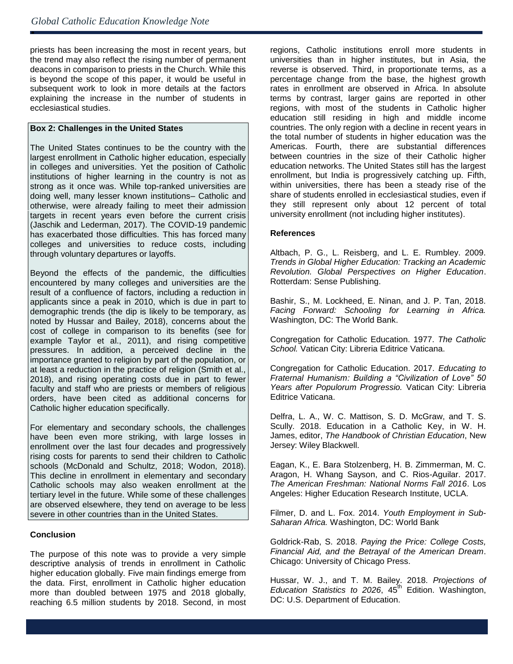ė

priests has been increasing the most in recent years, but the trend may also reflect the rising number of permanent deacons in comparison to priests in the Church. While this is beyond the scope of this paper, it would be useful in subsequent work to look in more details at the factors explaining the increase in the number of students in ecclesiastical studies.

## **Box 2: Challenges in the United States**

The United States continues to be the country with the largest enrollment in Catholic higher education, especially in colleges and universities. Yet the position of Catholic institutions of higher learning in the country is not as strong as it once was. While top-ranked universities are doing well, many lesser known institutions– Catholic and otherwise, were already failing to meet their admission targets in recent years even before the current crisis (Jaschik and Lederman, 2017). The COVID-19 pandemic has exacerbated those difficulties. This has forced many colleges and universities to reduce costs, including through voluntary departures or layoffs.

Beyond the effects of the pandemic, the difficulties encountered by many colleges and universities are the result of a confluence of factors, including a reduction in applicants since a peak in 2010, which is due in part to demographic trends (the dip is likely to be temporary, as noted by Hussar and Bailey, 2018), concerns about the cost of college in comparison to its benefits (see for example Taylor et al., 2011), and rising competitive pressures. In addition, a perceived decline in the importance granted to religion by part of the population, or at least a reduction in the practice of religion (Smith et al., 2018), and rising operating costs due in part to fewer faculty and staff who are priests or members of religious orders, have been cited as additional concerns for Catholic higher education specifically.

For elementary and secondary schools, the challenges have been even more striking, with large losses in enrollment over the last four decades and progressively rising costs for parents to send their children to Catholic schools (McDonald and Schultz, 2018; Wodon, 2018). This decline in enrollment in elementary and secondary Catholic schools may also weaken enrollment at the tertiary level in the future. While some of these challenges are observed elsewhere, they tend on average to be less severe in other countries than in the United States.

## **Conclusion**

The purpose of this note was to provide a very simple descriptive analysis of trends in enrollment in Catholic higher education globally. Five main findings emerge from the data. First, enrollment in Catholic higher education more than doubled between 1975 and 2018 globally, reaching 6.5 million students by 2018. Second, in most

regions, Catholic institutions enroll more students in universities than in higher institutes, but in Asia, the reverse is observed. Third, in proportionate terms, as a percentage change from the base, the highest growth rates in enrollment are observed in Africa. In absolute terms by contrast, larger gains are reported in other regions, with most of the students in Catholic higher education still residing in high and middle income countries. The only region with a decline in recent years in the total number of students in higher education was the Americas. Fourth, there are substantial differences between countries in the size of their Catholic higher education networks. The United States still has the largest enrollment, but India is progressively catching up. Fifth, within universities, there has been a steady rise of the share of students enrolled in ecclesiastical studies, even if they still represent only about 12 percent of total university enrollment (not including higher institutes).

### **References**

Altbach, P. G., L. Reisberg, and L. E. Rumbley. 2009. *Trends in Global Higher Education: Tracking an Academic Revolution. Global Perspectives on Higher Education*. Rotterdam: Sense Publishing.

Bashir, S., M. Lockheed, E. Ninan, and J. P. Tan, 2018. *Facing Forward: Schooling for Learning in Africa.* Washington, DC: The World Bank.

Congregation for Catholic Education. 1977. *The Catholic School.* Vatican City: Libreria Editrice Vaticana.

Congregation for Catholic Education. 2017. *Educating to Fraternal Humanism: Building a "Civilization of Love" 50 Years after Populorum Progressio.* Vatican City: Libreria Editrice Vaticana.

Delfra, L. A., W. C. Mattison, S. D. McGraw, and T. S. Scully. 2018. Education in a Catholic Key, in W. H. James, editor, *The Handbook of Christian Education*, New Jersey: Wiley Blackwell.

Eagan, K., E. Bara Stolzenberg, H. B. Zimmerman, M. C. Aragon, H. Whang Sayson, and C. Rios-Aguilar. 2017. *The American Freshman: National Norms Fall 2016*. Los Angeles: Higher Education Research Institute, UCLA.

Filmer, D. and L. Fox. 2014. *Youth Employment in Sub-Saharan Africa.* Washington, DC: World Bank

Goldrick-Rab, S. 2018. *Paying the Price: College Costs, Financial Aid, and the Betrayal of the American Dream*. Chicago: University of Chicago Press.

Hussar, W. J., and T. M. Bailey. 2018. *Projections of Education Statistics to 2026*, 45<sup>th</sup> Edition. Washington, DC: U.S. Department of Education.